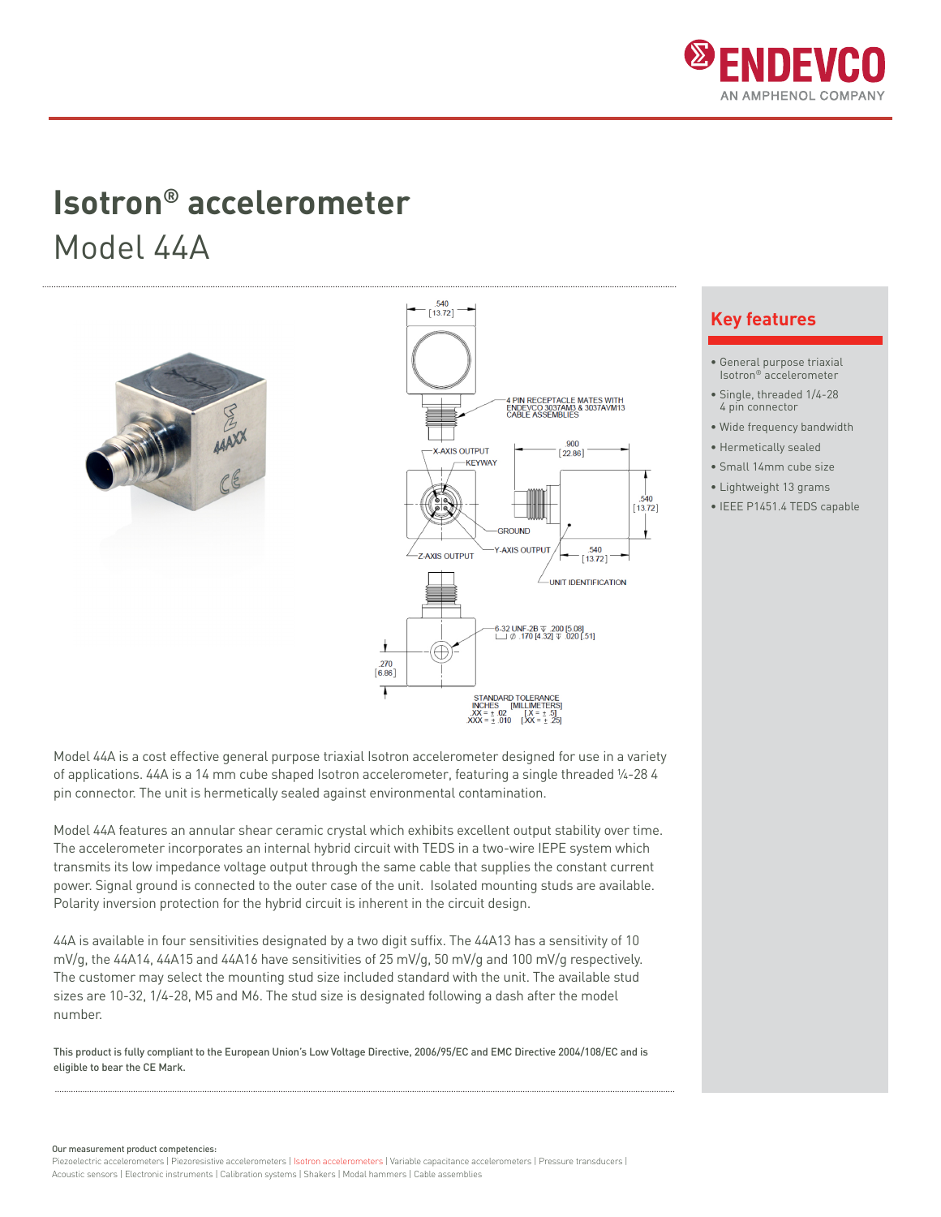

## **Isotron® accelerometer** Model 44A





Model 44A is a cost effective general purpose triaxial Isotron accelerometer designed for use in a variety of applications. 44A is a 14 mm cube shaped Isotron accelerometer, featuring a single threaded ¼-28 4 pin connector. The unit is hermetically sealed against environmental contamination.

Model 44A features an annular shear ceramic crystal which exhibits excellent output stability over time. The accelerometer incorporates an internal hybrid circuit with TEDS in a two-wire IEPE system which transmits its low impedance voltage output through the same cable that supplies the constant current power. Signal ground is connected to the outer case of the unit. Isolated mounting studs are available. Polarity inversion protection for the hybrid circuit is inherent in the circuit design.

44A is available in four sensitivities designated by a two digit suffix. The 44A13 has a sensitivity of 10 mV/g, the 44A14, 44A15 and 44A16 have sensitivities of 25 mV/g, 50 mV/g and 100 mV/g respectively. The customer may select the mounting stud size included standard with the unit. The available stud sizes are 10-32, 1/4-28, M5 and M6. The stud size is designated following a dash after the model number.

This product is fully compliant to the European Union's Low Voltage Directive, 2006/95/EC and EMC Directive 2004/108/EC and is eligible to bear the CE Mark.

### **Key features**

- General purpose triaxial Isotron® accelerometer
- Single, threaded 1/4-28 4 pin connector
- Wide frequency bandwidth
- Hermetically sealed
- Small 14mm cube size
- Lightweight 13 grams
- IEEE P1451.4 TEDS capable

Our measurement product competencies:

Piezoelectric accelerometers | Piezoresistive accelerometers | Isotron accelerometers | Variable capacitance accelerometers | Pressure transducers | Acoustic sensors | Electronic instruments | Calibration systems | Shakers | Modal hammers | Cable assemblies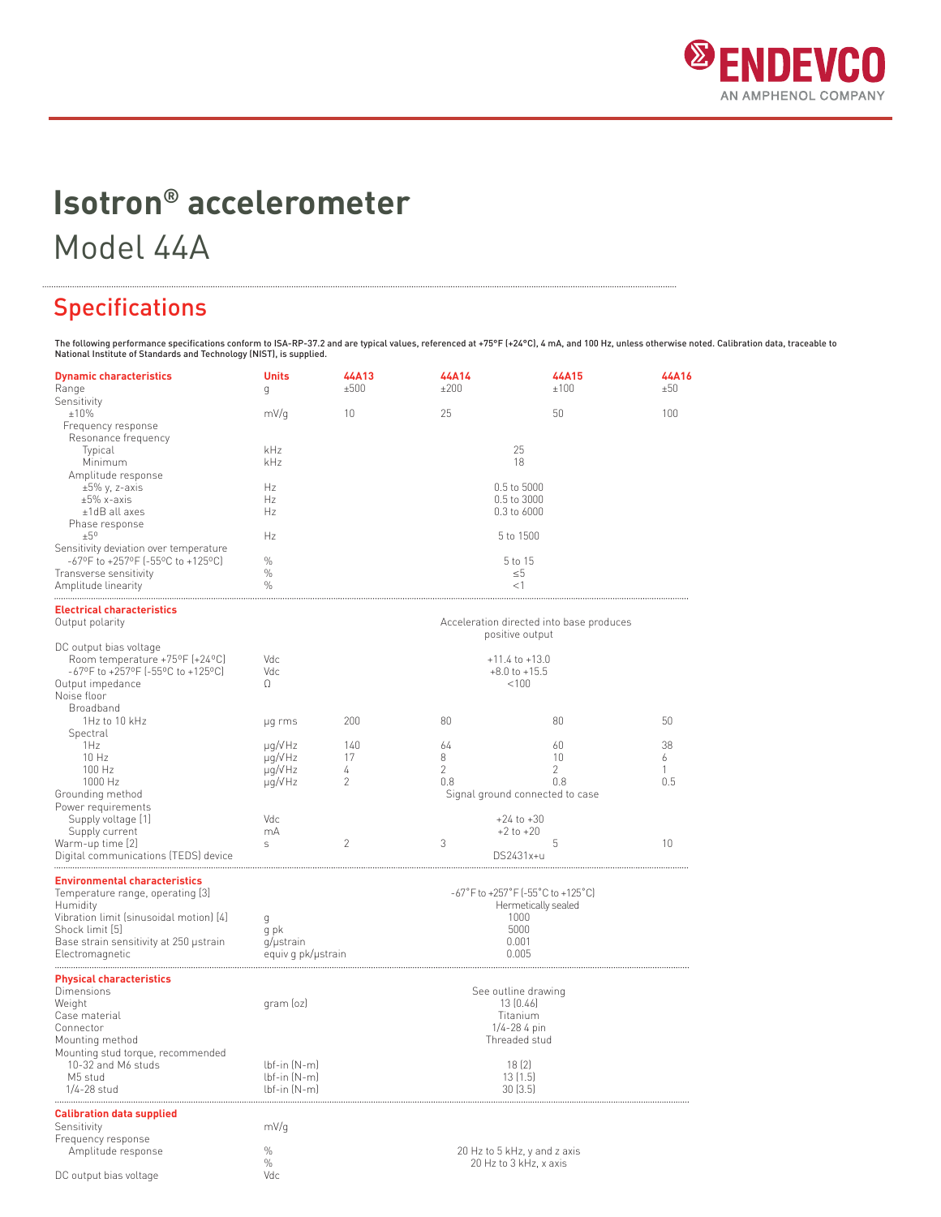

# **Isotron® accelerometer** Model 44A

### Specifications

The following performance specifications conform to ISA-RP-37.2 and are typical values, referenced at +75°F (+24°C), 4 mA, and 100 Hz, unless otherwise noted. Calibration data, traceable to<br>National Institute of Standards

| <b>Dynamic characteristics</b><br>Range                                     | <b>Units</b><br>g                                                           | 44A13<br>±500  | 44A14<br>±200                   | 44A15<br>±100                                          | 44A16<br>±50 |  |
|-----------------------------------------------------------------------------|-----------------------------------------------------------------------------|----------------|---------------------------------|--------------------------------------------------------|--------------|--|
| Sensitivity<br>±10%                                                         | mV/g                                                                        | 10             | 25                              | 50                                                     | 100          |  |
| Frequency response                                                          |                                                                             |                |                                 |                                                        |              |  |
| Resonance frequency                                                         | kHz                                                                         |                |                                 | 25                                                     |              |  |
| Typical<br>Minimum                                                          | kHz                                                                         |                |                                 | 18                                                     |              |  |
| Amplitude response                                                          |                                                                             |                |                                 |                                                        |              |  |
| $\pm 5\%$ y, z-axis                                                         | Hz                                                                          |                |                                 | 0.5 to 5000                                            |              |  |
| $\pm 5\%$ x-axis<br>$±1dB$ all axes                                         | Hz<br>Hz                                                                    |                |                                 | 0.5 to 3000<br>0.3 to 6000                             |              |  |
| Phase response                                                              |                                                                             |                |                                 |                                                        |              |  |
| ±5°                                                                         | Hz                                                                          |                |                                 | 5 to 1500                                              |              |  |
| Sensitivity deviation over temperature<br>-67°F to +257°F (-55°C to +125°C) | $\%$                                                                        |                |                                 | 5 to 15                                                |              |  |
| Transverse sensitivity                                                      | $\%$                                                                        |                | $\leq 5$                        |                                                        |              |  |
| Amplitude linearity                                                         | $\frac{0}{0}$                                                               |                | $<$ 1                           |                                                        |              |  |
| <b>Electrical characteristics</b>                                           |                                                                             |                |                                 |                                                        |              |  |
| Output polarity                                                             |                                                                             |                |                                 | Acceleration directed into base produces               |              |  |
|                                                                             |                                                                             |                |                                 | positive output                                        |              |  |
| DC output bias voltage<br>Room temperature +75°F (+24°C)                    | Vdc                                                                         |                |                                 | $+11.4$ to $+13.0$                                     |              |  |
| $-67$ °F to $+257$ °F (-55°C to $+125$ °C)                                  | Vdc                                                                         |                |                                 | $+8.0$ to $+15.5$                                      |              |  |
| Output impedance                                                            | Ω                                                                           |                |                                 | < 100                                                  |              |  |
| Noise floor<br>Broadband                                                    |                                                                             |                |                                 |                                                        |              |  |
| 1Hz to 10 kHz                                                               | µg rms                                                                      | 200            | 80                              | 80                                                     | 50           |  |
| Spectral                                                                    |                                                                             |                |                                 |                                                        |              |  |
| 1Hz                                                                         | $\mu q/V$ Hz                                                                | 140<br>17      | 64<br>8                         | 60<br>10                                               | 38           |  |
| 10 Hz<br>100 Hz                                                             | $\mu q/V$ Hz<br>$\mu q/V$ Hz                                                | 4              | $\overline{2}$                  | $\overline{2}$                                         | 6<br>1       |  |
| 1000 Hz                                                                     | $\mu$ g/VHz                                                                 | 2              | 0.8                             | 0.8                                                    | 0.5          |  |
| Grounding method                                                            |                                                                             |                | Signal ground connected to case |                                                        |              |  |
| Power requirements<br>Supply voltage [1]                                    | Vdc                                                                         |                |                                 | $+24$ to $+30$                                         |              |  |
| Supply current                                                              | mA                                                                          |                | $+2$ to $+20$                   |                                                        |              |  |
| Warm-up time [2]                                                            | S                                                                           | $\overline{2}$ | 3                               | 5                                                      | 10           |  |
| Digital communications (TEDS) device                                        |                                                                             |                |                                 | DS2431x+u                                              |              |  |
| <b>Environmental characteristics</b>                                        |                                                                             |                |                                 |                                                        |              |  |
| Temperature range, operating [3]                                            | $-67^{\circ}$ F to $+257^{\circ}$ F (-55 $^{\circ}$ C to +125 $^{\circ}$ C) |                |                                 |                                                        |              |  |
| Humidity<br>Vibration limit (sinusoidal motion) [4]                         | g                                                                           |                |                                 | Hermetically sealed<br>1000                            |              |  |
| Shock limit [5]                                                             | g pk                                                                        |                |                                 | 5000                                                   |              |  |
| Base strain sensitivity at 250 ustrain                                      | g/µstrain                                                                   |                |                                 | 0.001                                                  |              |  |
| Electromagnetic                                                             | equiv g pk/µstrain                                                          |                |                                 | 0.005                                                  |              |  |
| <b>Physical characteristics</b>                                             |                                                                             |                |                                 |                                                        |              |  |
| Dimensions                                                                  |                                                                             |                |                                 | See outline drawing                                    |              |  |
| Weight<br>Case material                                                     | gram (oz)                                                                   |                |                                 | 13 (0.46)<br>Titanium                                  |              |  |
| Connector                                                                   |                                                                             |                |                                 | $1/4 - 284$ pin                                        |              |  |
| Mounting method                                                             |                                                                             |                |                                 | Threaded stud                                          |              |  |
| Mounting stud torque, recommended<br>10-32 and M6 studs                     | $lbf-in$ $(N-m)$                                                            |                |                                 | 18(2)                                                  |              |  |
| M5 stud                                                                     | $lbf-in$ $(N-m)$                                                            |                |                                 | 13(1.5)                                                |              |  |
| 1/4-28 stud                                                                 | $lbf-in(N-m)$                                                               |                |                                 | 30(3.5)                                                |              |  |
| <b>Calibration data supplied</b>                                            |                                                                             |                |                                 |                                                        |              |  |
| Sensitivity                                                                 | mV/q                                                                        |                |                                 |                                                        |              |  |
| Frequency response                                                          |                                                                             |                |                                 |                                                        |              |  |
| Amplitude response                                                          | $\%$<br>$\%$                                                                |                |                                 | 20 Hz to 5 kHz, y and z axis<br>20 Hz to 3 kHz, x axis |              |  |
| DC output bias voltage                                                      | Vdc                                                                         |                |                                 |                                                        |              |  |